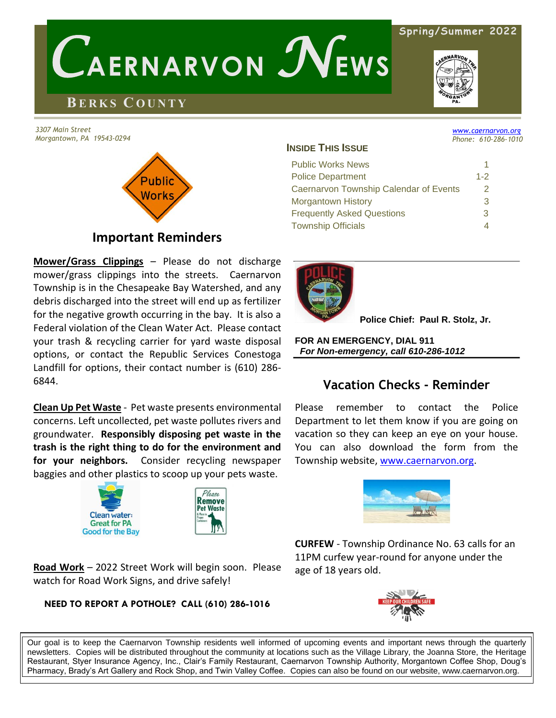#### **Spring/Summer 2022**

# **BE R K S CO U N T Y**

*3307 Main Street Morgantown, PA 19543-0294*

 $\overline{\textbf{y}}$ 

# Public Norks **Important Reminders**

 *C***AERNARVON** *N***EWS**

**Mower/Grass Clippings** – Please do not discharge mower/grass clippings into the streets. Caernarvon Township is in the Chesapeake Bay Watershed, and any debris discharged into the street will end up as fertilizer for the negative growth occurring in the bay. It is also a

Federal violation of the Clean Water Act. Please contact your trash & recycling carrier for yard waste disposal options, or contact the Republic Services Conestoga Landfill for options, their contact number is (610) 286- 6844.

**Clean Up Pet Waste** - Pet waste presents environmental concerns. Left uncollected, pet waste pollutes rivers and groundwater. **Responsibly disposing pet waste in the trash is the right thing to do for the environment and for your neighbors.** Consider recycling newspaper baggies and other plastics to scoop up your pets waste.





**Road Work** – 2022 Street Work will begin soon. Please watch for Road Work Signs, and drive safely!

## **NEED TO REPORT A POTHOLE? CALL (610) 286-1016**

Our goal is to keep the Caernarvon Township residents well informed of upcoming events and important news through the quarterly newsletters. Copies will be distributed throughout the community at locations such as the Village Library, the Joanna Store, the Heritage Restaurant, Styer Insurance Agency, Inc., Clair's Family Restaurant, Caernarvon Township Authority, Morgantown Coffee Shop, Doug's Pharmacy, Brady's Art Gallery and Rock Shop, and Twin Valley Coffee. Copies can also be found on our website, www.caernarvon.org.

#### **INSIDE THIS ISSUE**

| <b>Public Works News</b>               |         |
|----------------------------------------|---------|
| <b>Police Department</b>               | $1 - 2$ |
| Caernarvon Township Calendar of Events | 2.      |
| Morgantown History                     | 3       |
| <b>Frequently Asked Questions</b>      | 3       |
| <b>Township Officials</b>              |         |

í



 **Police Chief: Paul R. Stolz, Jr.**

**FOR AN EMERGENCY, DIAL 911**  *For Non-emergency, call 610-286-1012*

# **Vacation Checks - Reminder**

Please remember to contact the Police Department to let them know if you are going on vacation so they can keep an eye on your house. You can also download the form from the Township website[, www.caernarvon.org.](http://www.caernarvon.org/)

**CURFEW** - Township Ordinance No. 63 calls for an

11PM curfew year-round for anyone under the

age of 18 years old.



*[www.caernarvon.org](http://www.caernarvon.org/)*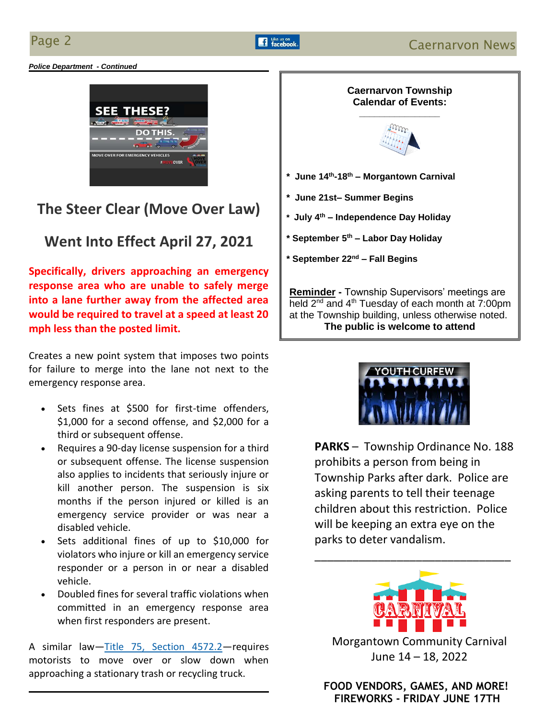ľ

*Police Department - Continued*



# **The Steer Clear (Move Over Law)**

# **Went Into Effect April 27, 2021**

**Specifically, drivers approaching an emergency response area who are unable to safely merge into a lane further away from the affected area would be required to travel at a speed at least 20 mph less than the posted limit.**

Creates a new point system that imposes two points for failure to merge into the lane not next to the emergency response area.

- Sets fines at \$500 for first-time offenders, \$1,000 for a second offense, and \$2,000 for a third or subsequent offense.
- Requires a 90-day license suspension for a third or subsequent offense. The license suspension also applies to incidents that seriously injure or kill another person. The suspension is six months if the person injured or killed is an emergency service provider or was near a disabled vehicle.
- Sets additional fines of up to \$10,000 for violators who injure or kill an emergency service responder or a person in or near a disabled vehicle.
- Doubled fines for several traffic violations when committed in an emergency response area when first responders are present.

A similar law—[Title 75, Section 4572.2](https://www.legis.state.pa.us/cfdocs/legis/LI/consCheck.cfm?txtType=HTM&ttl=75&div=0&chpt=45&sctn=72&subsctn=2)—requires motorists to move over or slow down when approaching a stationary trash or recycling truck.





**PARKS** – Township Ordinance No. 188 prohibits a person from being in Township Parks after dark. Police are asking parents to tell their teenage children about this restriction. Police will be keeping an extra eye on the parks to deter vandalism.

\_\_\_\_\_\_\_\_\_[\\_\\_\\_\\_\\_\\_\\_\\_\\_\\_\\_\\_\\_\\_\\_\\_](https://www.google.com/imgres?imgurl=http://raymarshpta.com/files/2017/09/carnival.jpg&imgrefurl=http://raymarshpta.com/event/school-carnival/&docid=xKTCK9H6uSNvVM&tbnid=bVaBKvY9a21wLM:&vet=10ahUKEwjW5orT6ObhAhUIZd8KHZMFDKwQMwiDASgUMBQ..i&w=2000&h=1500&bih=683&biw=1366&q=carnival%20images&ved=0ahUKEwjW5orT6ObhAhUIZd8KHZMFDKwQMwiDASgUMBQ&iact=mrc&uact=8)\_\_\_\_\_\_



Morgantown Community Carnival June 14 – 18, 2022

 **FOOD VENDORS, GAMES, AND MORE! FIREWORKS - FRIDAY JUNE 17TH**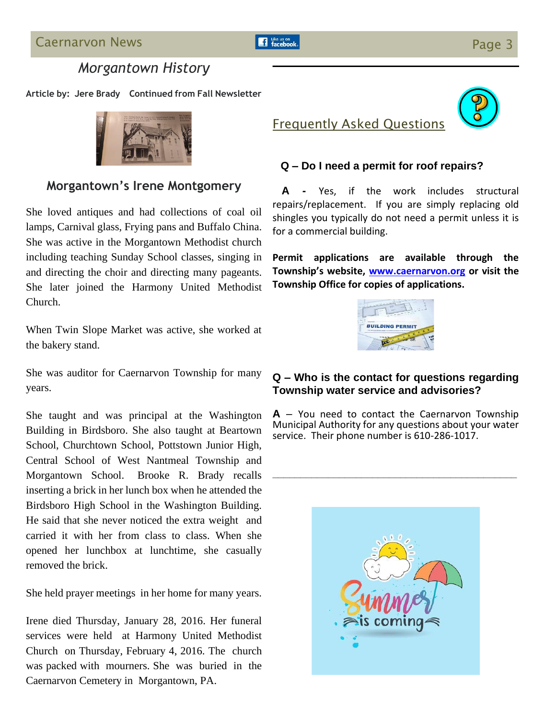# *Morgantown History*

**Article by: Jere Brady Continued from Fall Newsletter**



## **Morgantown's Irene Montgomery**

She loved antiques and had collections of coal oil lamps, Carnival glass, Frying pans and Buffalo China. She was active in the Morgantown Methodist church including teaching Sunday School classes, singing in and directing the choir and directing many pageants. She later joined the Harmony United Methodist Church.

When Twin Slope Market was active, she worked at the bakery stand.

She was auditor for Caernarvon Township for many years.

She taught and was principal at the Washington Building in Birdsboro. She also taught at Beartown School, Churchtown School, Pottstown Junior High, Central School of West Nantmeal Township and Morgantown School. Brooke R. Brady recalls inserting a brick in her lunch box when he attended the Birdsboro High School in the Washington Building. He said that she never noticed the extra weight and carried it with her from class to class. When she opened her lunchbox at lunchtime, she casually removed the brick.

She held prayer meetings in her home for many years.

Irene died Thursday, January 28, 2016. Her funeral services were held at Harmony United Methodist Church on Thursday, February 4, 2016. The church was packed with mourners. She was buried in the Caernarvon Cemetery in Morgantown, PA.



## **Q – Do I need a permit for roof repairs?**

Frequently Asked Questions

 **A -** Yes, if the work includes structural repairs/replacement. If you are simply replacing old shingles you typically do not need a permit unless it is for a commercial building.

**Permit applications are available through the Township's website, [www.caernarvon.org](http://www.caernarvon.org/) or visit the Township Office for copies of applications.**



## **Q – Who is the contact for questions regarding Township water service and advisories?**

**A** – You need to contact the Caernarvon Township Municipal Authority for any questions about your water service. Their phone number is 610-286-1017.

**\_\_\_\_\_\_\_\_\_\_\_\_\_\_\_\_\_\_\_\_\_\_\_\_\_\_\_\_\_\_\_\_\_\_\_\_\_\_\_\_\_\_\_\_**